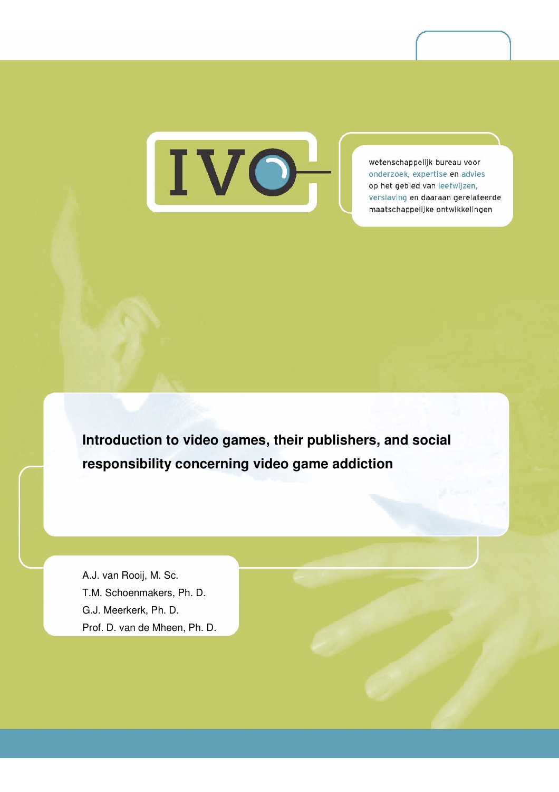

wetenschappelijk bureau voor onderzoek, expertise en advies op het gebied van leefwijzen, verslaving en daaraan gerelateerde maatschappelijke ontwikkelingen

**Introduction to video games, their publishers, and social responsibility concerning video game addiction** 

A.J. van Rooij, M. Sc. T.M. Schoenmakers, Ph. D. G.J. Meerkerk, Ph. D. Prof. D. van de Mheen, Ph. D.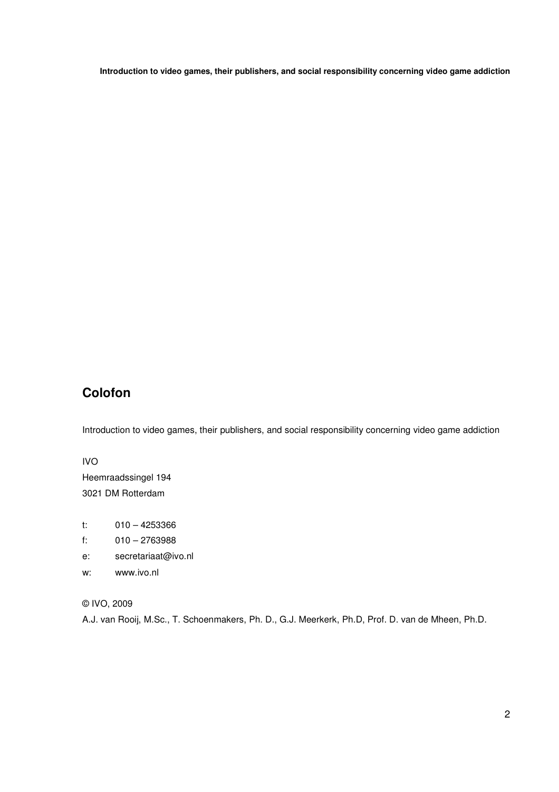# **Colofon**

Introduction to video games, their publishers, and social responsibility concerning video game addiction

### IVO

Heemraadssingel 194 3021 DM Rotterdam

- t: 010 4253366
- f: 010 2763988
- e: secretariaat@ivo.nl
- w: www.ivo.nl
- © IVO, 2009

A.J. van Rooij, M.Sc., T. Schoenmakers, Ph. D., G.J. Meerkerk, Ph.D, Prof. D. van de Mheen, Ph.D.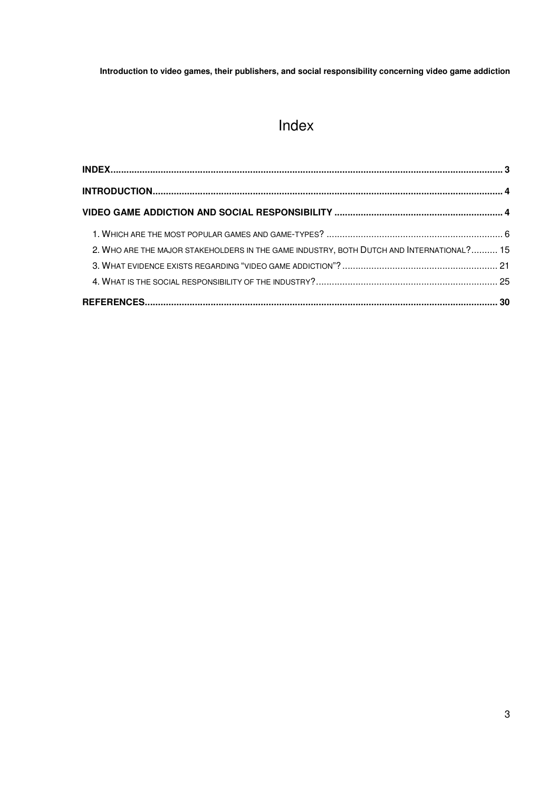# Index

| 2. WHO ARE THE MAJOR STAKEHOLDERS IN THE GAME INDUSTRY, BOTH DUTCH AND INTERNATIONAL? 15 |  |
|------------------------------------------------------------------------------------------|--|
|                                                                                          |  |
|                                                                                          |  |
|                                                                                          |  |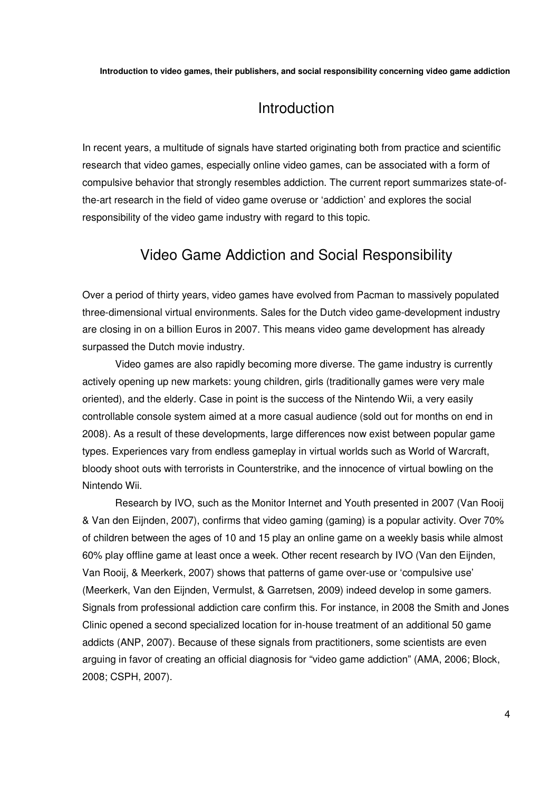# Introduction

In recent years, a multitude of signals have started originating both from practice and scientific research that video games, especially online video games, can be associated with a form of compulsive behavior that strongly resembles addiction. The current report summarizes state-ofthe-art research in the field of video game overuse or 'addiction' and explores the social responsibility of the video game industry with regard to this topic.

# Video Game Addiction and Social Responsibility

Over a period of thirty years, video games have evolved from Pacman to massively populated three-dimensional virtual environments. Sales for the Dutch video game-development industry are closing in on a billion Euros in 2007. This means video game development has already surpassed the Dutch movie industry.

Video games are also rapidly becoming more diverse. The game industry is currently actively opening up new markets: young children, girls (traditionally games were very male oriented), and the elderly. Case in point is the success of the Nintendo Wii, a very easily controllable console system aimed at a more casual audience (sold out for months on end in 2008). As a result of these developments, large differences now exist between popular game types. Experiences vary from endless gameplay in virtual worlds such as World of Warcraft, bloody shoot outs with terrorists in Counterstrike, and the innocence of virtual bowling on the Nintendo Wii.

Research by IVO, such as the Monitor Internet and Youth presented in 2007 (Van Rooij & Van den Eijnden, 2007), confirms that video gaming (gaming) is a popular activity. Over 70% of children between the ages of 10 and 15 play an online game on a weekly basis while almost 60% play offline game at least once a week. Other recent research by IVO (Van den Eijnden, Van Rooij, & Meerkerk, 2007) shows that patterns of game over-use or 'compulsive use' (Meerkerk, Van den Eijnden, Vermulst, & Garretsen, 2009) indeed develop in some gamers. Signals from professional addiction care confirm this. For instance, in 2008 the Smith and Jones Clinic opened a second specialized location for in-house treatment of an additional 50 game addicts (ANP, 2007). Because of these signals from practitioners, some scientists are even arguing in favor of creating an official diagnosis for "video game addiction" (AMA, 2006; Block, 2008; CSPH, 2007).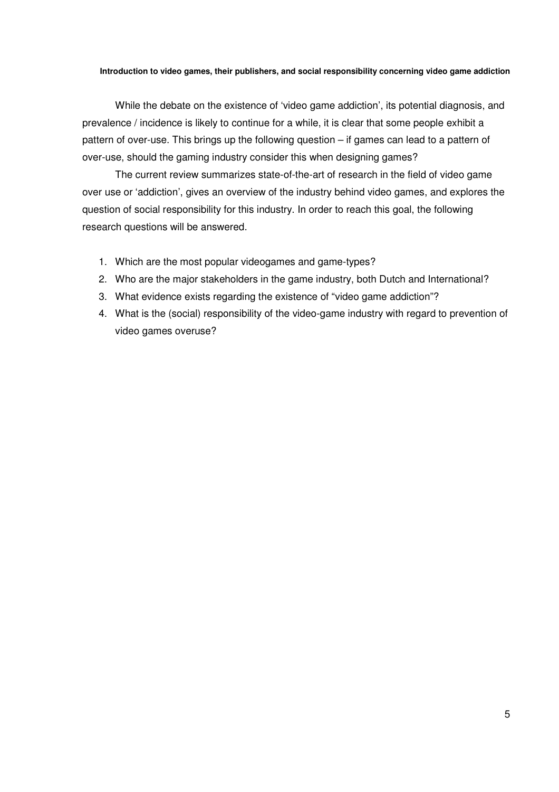While the debate on the existence of 'video game addiction', its potential diagnosis, and prevalence / incidence is likely to continue for a while, it is clear that some people exhibit a pattern of over-use. This brings up the following question – if games can lead to a pattern of over-use, should the gaming industry consider this when designing games?

The current review summarizes state-of-the-art of research in the field of video game over use or 'addiction', gives an overview of the industry behind video games, and explores the question of social responsibility for this industry. In order to reach this goal, the following research questions will be answered.

- 1. Which are the most popular videogames and game-types?
- 2. Who are the major stakeholders in the game industry, both Dutch and International?
- 3. What evidence exists regarding the existence of "video game addiction"?
- 4. What is the (social) responsibility of the video-game industry with regard to prevention of video games overuse?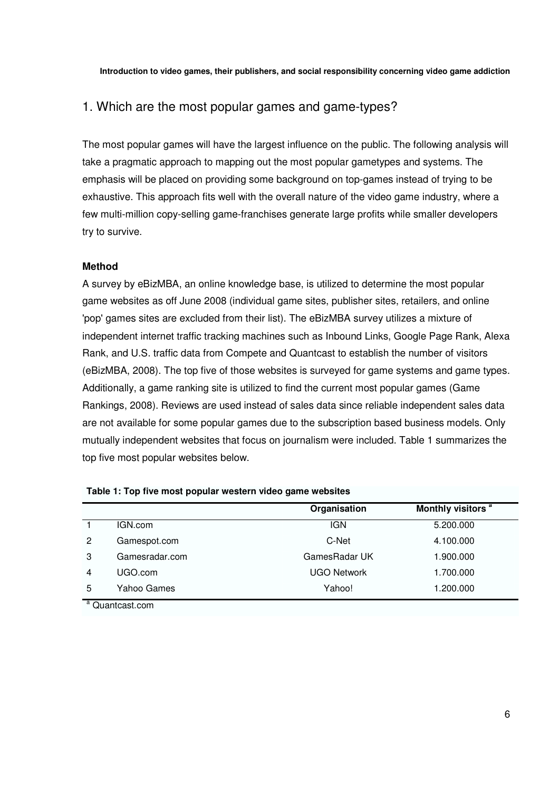## 1. Which are the most popular games and game-types?

The most popular games will have the largest influence on the public. The following analysis will take a pragmatic approach to mapping out the most popular gametypes and systems. The emphasis will be placed on providing some background on top-games instead of trying to be exhaustive. This approach fits well with the overall nature of the video game industry, where a few multi-million copy-selling game-franchises generate large profits while smaller developers try to survive.

### **Method**

A survey by eBizMBA, an online knowledge base, is utilized to determine the most popular game websites as off June 2008 (individual game sites, publisher sites, retailers, and online 'pop' games sites are excluded from their list). The eBizMBA survey utilizes a mixture of independent internet traffic tracking machines such as Inbound Links, Google Page Rank, Alexa Rank, and U.S. traffic data from Compete and Quantcast to establish the number of visitors (eBizMBA, 2008). The top five of those websites is surveyed for game systems and game types. Additionally, a game ranking site is utilized to find the current most popular games (Game Rankings, 2008). Reviews are used instead of sales data since reliable independent sales data are not available for some popular games due to the subscription based business models. Only mutually independent websites that focus on journalism were included. Table 1 summarizes the top five most popular websites below.

|   |                   | Organisation       | Monthly visitors <sup>a</sup> |
|---|-------------------|--------------------|-------------------------------|
|   | IGN.com           | <b>IGN</b>         | 5.200.000                     |
| 2 | Gamespot.com      | C-Net              | 4.100.000                     |
| 3 | Gamesradar.com    | GamesRadar UK      | 1.900.000                     |
| 4 | UGO.com           | <b>UGO Network</b> | 1.700.000                     |
| 5 | Yahoo Games       | Yahoo!             | 1.200.000                     |
|   | $a$ Quantcast.com |                    |                               |

### **Table 1: Top five most popular western video game websites**

6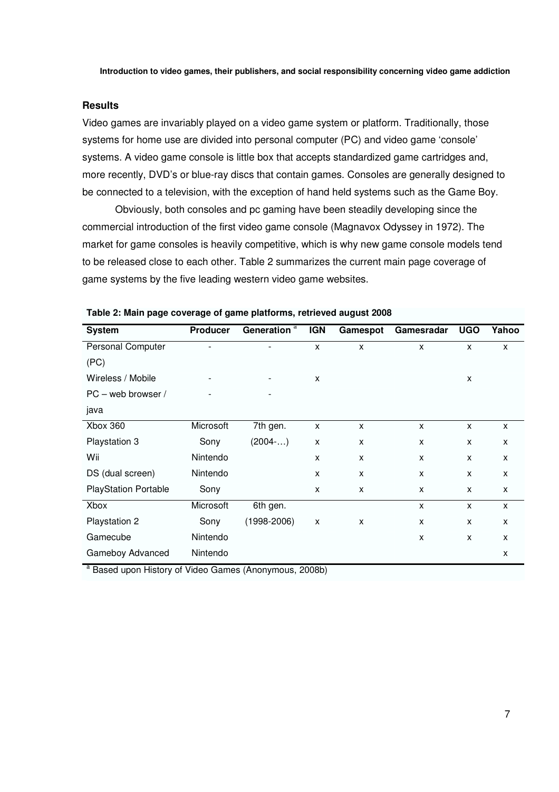### **Results**

Video games are invariably played on a video game system or platform. Traditionally, those systems for home use are divided into personal computer (PC) and video game 'console' systems. A video game console is little box that accepts standardized game cartridges and, more recently, DVD's or blue-ray discs that contain games. Consoles are generally designed to be connected to a television, with the exception of hand held systems such as the Game Boy.

Obviously, both consoles and pc gaming have been steadily developing since the commercial introduction of the first video game console (Magnavox Odyssey in 1972). The market for game consoles is heavily competitive, which is why new game console models tend to be released close to each other. Table 2 summarizes the current main page coverage of game systems by the five leading western video game websites.

| <b>System</b>                 | <b>Producer</b> | Generation <sup>a</sup> | <b>IGN</b>                | Gamespot                  | Gamesradar                | <b>UGO</b> | Yahoo          |
|-------------------------------|-----------------|-------------------------|---------------------------|---------------------------|---------------------------|------------|----------------|
| Personal Computer             |                 |                         | $\boldsymbol{\mathsf{x}}$ | X                         | $\boldsymbol{\mathsf{x}}$ | X          | X              |
| (PC)                          |                 |                         |                           |                           |                           |            |                |
| Wireless / Mobile             |                 |                         | X                         |                           |                           | X          |                |
| PC - web browser /            |                 |                         |                           |                           |                           |            |                |
| java                          |                 |                         |                           |                           |                           |            |                |
| <b>Xbox 360</b>               | Microsoft       | 7th gen.                | X                         | $\boldsymbol{\mathsf{x}}$ | X                         | X          | X              |
| Playstation 3                 | Sony            | (2004)                  | X                         | X                         | X                         | X          | $\pmb{\times}$ |
| Wii                           | Nintendo        |                         | $\boldsymbol{\mathsf{x}}$ | X                         | X                         | X          | X              |
| DS (dual screen)              | Nintendo        |                         | $\boldsymbol{\mathsf{x}}$ | X                         | X                         | X          | X              |
| <b>PlayStation Portable</b>   | Sony            |                         | X                         | X                         | X                         | X          | X              |
| Xbox                          | Microsoft       | 6th gen.                |                           |                           | X                         | X          | $\mathsf{x}$   |
| Playstation 2                 | Sony            | $(1998 - 2006)$         | X                         | X                         | X                         | X          | X              |
| Gamecube                      | Nintendo        |                         |                           |                           | X                         | X          | X              |
| Gameboy Advanced              | Nintendo        |                         |                           |                           |                           |            | X              |
| $\overline{a}$ $\overline{a}$ |                 |                         |                           |                           |                           |            |                |

**Table 2: Main page coverage of game platforms, retrieved august 2008** 

<sup>a</sup> Based upon History of Video Games (Anonymous, 2008b)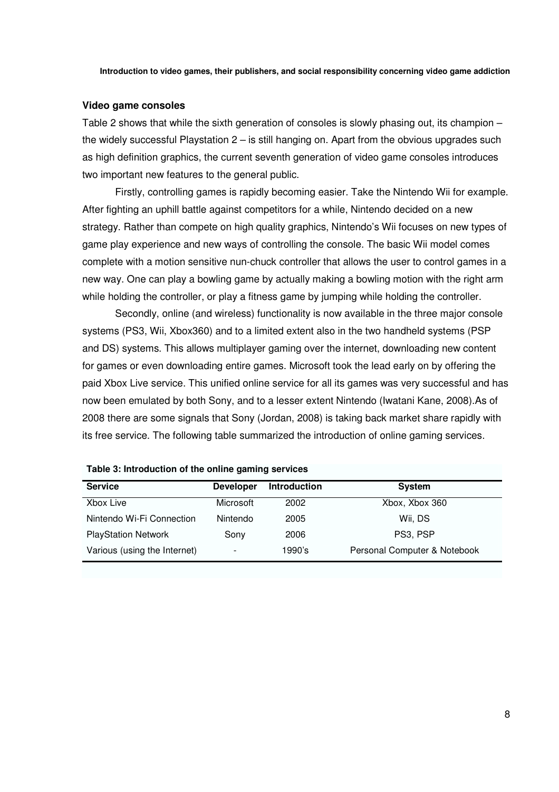### **Video game consoles**

Table 2 shows that while the sixth generation of consoles is slowly phasing out, its champion – the widely successful Playstation  $2 -$  is still hanging on. Apart from the obvious upgrades such as high definition graphics, the current seventh generation of video game consoles introduces two important new features to the general public.

Firstly, controlling games is rapidly becoming easier. Take the Nintendo Wii for example. After fighting an uphill battle against competitors for a while, Nintendo decided on a new strategy. Rather than compete on high quality graphics, Nintendo's Wii focuses on new types of game play experience and new ways of controlling the console. The basic Wii model comes complete with a motion sensitive nun-chuck controller that allows the user to control games in a new way. One can play a bowling game by actually making a bowling motion with the right arm while holding the controller, or play a fitness game by jumping while holding the controller.

Secondly, online (and wireless) functionality is now available in the three major console systems (PS3, Wii, Xbox360) and to a limited extent also in the two handheld systems (PSP and DS) systems. This allows multiplayer gaming over the internet, downloading new content for games or even downloading entire games. Microsoft took the lead early on by offering the paid Xbox Live service. This unified online service for all its games was very successful and has now been emulated by both Sony, and to a lesser extent Nintendo (Iwatani Kane, 2008).As of 2008 there are some signals that Sony (Jordan, 2008) is taking back market share rapidly with its free service. The following table summarized the introduction of online gaming services.

| <b>Service</b>               | <b>Developer</b> | <b>Introduction</b> | <b>System</b>                |
|------------------------------|------------------|---------------------|------------------------------|
| Xbox Live                    | Microsoft        | 2002                | Xbox, Xbox 360               |
| Nintendo Wi-Fi Connection    | Nintendo         | 2005                | Wii, DS                      |
| <b>PlayStation Network</b>   | Sony             | 2006                | PS3, PSP                     |
| Various (using the Internet) |                  | 1990's              | Personal Computer & Notebook |

**Table 3: Introduction of the online gaming services**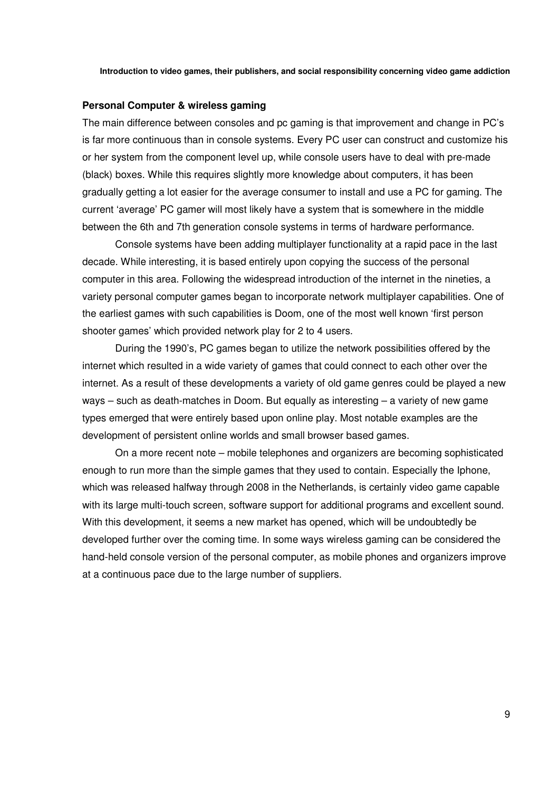### **Personal Computer & wireless gaming**

The main difference between consoles and pc gaming is that improvement and change in PC's is far more continuous than in console systems. Every PC user can construct and customize his or her system from the component level up, while console users have to deal with pre-made (black) boxes. While this requires slightly more knowledge about computers, it has been gradually getting a lot easier for the average consumer to install and use a PC for gaming. The current 'average' PC gamer will most likely have a system that is somewhere in the middle between the 6th and 7th generation console systems in terms of hardware performance.

Console systems have been adding multiplayer functionality at a rapid pace in the last decade. While interesting, it is based entirely upon copying the success of the personal computer in this area. Following the widespread introduction of the internet in the nineties, a variety personal computer games began to incorporate network multiplayer capabilities. One of the earliest games with such capabilities is Doom, one of the most well known 'first person shooter games' which provided network play for 2 to 4 users.

During the 1990's, PC games began to utilize the network possibilities offered by the internet which resulted in a wide variety of games that could connect to each other over the internet. As a result of these developments a variety of old game genres could be played a new ways – such as death-matches in Doom. But equally as interesting – a variety of new game types emerged that were entirely based upon online play. Most notable examples are the development of persistent online worlds and small browser based games.

On a more recent note – mobile telephones and organizers are becoming sophisticated enough to run more than the simple games that they used to contain. Especially the Iphone, which was released halfway through 2008 in the Netherlands, is certainly video game capable with its large multi-touch screen, software support for additional programs and excellent sound. With this development, it seems a new market has opened, which will be undoubtedly be developed further over the coming time. In some ways wireless gaming can be considered the hand-held console version of the personal computer, as mobile phones and organizers improve at a continuous pace due to the large number of suppliers.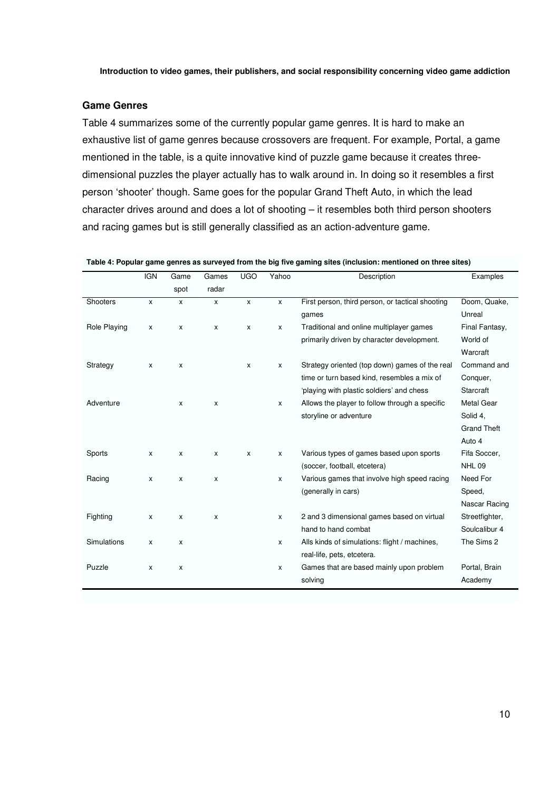### **Game Genres**

Table 4 summarizes some of the currently popular game genres. It is hard to make an exhaustive list of game genres because crossovers are frequent. For example, Portal, a game mentioned in the table, is a quite innovative kind of puzzle game because it creates threedimensional puzzles the player actually has to walk around in. In doing so it resembles a first person 'shooter' though. Same goes for the popular Grand Theft Auto, in which the lead character drives around and does a lot of shooting – it resembles both third person shooters and racing games but is still generally classified as an action-adventure game.

|  |  |  |  | Table 4: Popular game genres as surveyed from the big five gaming sites (inclusion: mentioned on three sites) |
|--|--|--|--|---------------------------------------------------------------------------------------------------------------|
|--|--|--|--|---------------------------------------------------------------------------------------------------------------|

|              | <b>IGN</b>   | Game               | Games        | <b>UGO</b>   | Yahoo        | Description                                      | Examples           |
|--------------|--------------|--------------------|--------------|--------------|--------------|--------------------------------------------------|--------------------|
|              |              | spot               | radar        |              |              |                                                  |                    |
| Shooters     | $\mathsf{x}$ | $\mathsf{x}$       | $\mathsf{x}$ | $\mathsf{x}$ | $\mathsf{x}$ | First person, third person, or tactical shooting | Doom, Quake,       |
|              |              |                    |              |              |              | games                                            | Unreal             |
| Role Playing | X            | X                  | X            | $\pmb{\chi}$ | X            | Traditional and online multiplayer games         | Final Fantasy,     |
|              |              |                    |              |              |              | primarily driven by character development.       | World of           |
|              |              |                    |              |              |              |                                                  | Warcraft           |
| Strategy     | X            | X                  |              | X            | X            | Strategy oriented (top down) games of the real   | Command and        |
|              |              |                    |              |              |              | time or turn based kind, resembles a mix of      | Conquer,           |
|              |              |                    |              |              |              | 'playing with plastic soldiers' and chess        | Starcraft          |
| Adventure    |              | X                  | X            |              | X            | Allows the player to follow through a specific   | <b>Metal Gear</b>  |
|              |              |                    |              |              |              | storyline or adventure                           | Solid 4,           |
|              |              |                    |              |              |              |                                                  | <b>Grand Theft</b> |
|              |              |                    |              |              |              |                                                  | Auto 4             |
| Sports       | $\pmb{\chi}$ | $\pmb{\mathsf{X}}$ | X            | $\pmb{\chi}$ | X            | Various types of games based upon sports         | Fifa Soccer,       |
|              |              |                    |              |              |              | (soccer, football, etcetera)                     | <b>NHL 09</b>      |
| Racing       | X            | $\mathsf{x}$       | X            |              | X            | Various games that involve high speed racing     | Need For           |
|              |              |                    |              |              |              | (generally in cars)                              | Speed,             |
|              |              |                    |              |              |              |                                                  | Nascar Racing      |
| Fighting     | X            | X                  | X            |              | X            | 2 and 3 dimensional games based on virtual       | Streetfighter,     |
|              |              |                    |              |              |              | hand to hand combat                              | Soulcalibur 4      |
| Simulations  | X            | X                  |              |              | X            | Alls kinds of simulations: flight / machines,    | The Sims 2         |
|              |              |                    |              |              |              | real-life, pets, etcetera.                       |                    |
| Puzzle       | X            | X                  |              |              | X            | Games that are based mainly upon problem         | Portal, Brain      |
|              |              |                    |              |              |              | solving                                          | Academy            |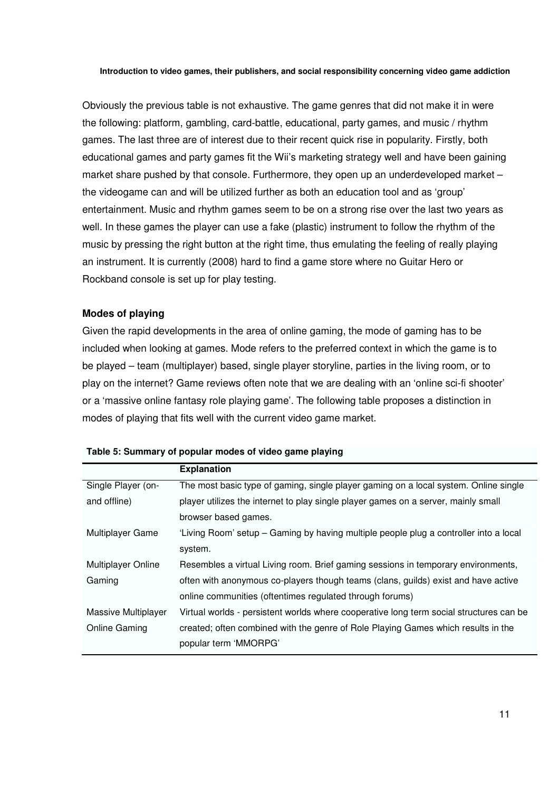Obviously the previous table is not exhaustive. The game genres that did not make it in were the following: platform, gambling, card-battle, educational, party games, and music / rhythm games. The last three are of interest due to their recent quick rise in popularity. Firstly, both educational games and party games fit the Wii's marketing strategy well and have been gaining market share pushed by that console. Furthermore, they open up an underdeveloped market – the videogame can and will be utilized further as both an education tool and as 'group' entertainment. Music and rhythm games seem to be on a strong rise over the last two years as well. In these games the player can use a fake (plastic) instrument to follow the rhythm of the music by pressing the right button at the right time, thus emulating the feeling of really playing an instrument. It is currently (2008) hard to find a game store where no Guitar Hero or Rockband console is set up for play testing.

### **Modes of playing**

Given the rapid developments in the area of online gaming, the mode of gaming has to be included when looking at games. Mode refers to the preferred context in which the game is to be played – team (multiplayer) based, single player storyline, parties in the living room, or to play on the internet? Game reviews often note that we are dealing with an 'online sci-fi shooter' or a 'massive online fantasy role playing game'. The following table proposes a distinction in modes of playing that fits well with the current video game market.

|                           | <b>Explanation</b>                                                                      |
|---------------------------|-----------------------------------------------------------------------------------------|
| Single Player (on-        | The most basic type of gaming, single player gaming on a local system. Online single    |
| and offline)              | player utilizes the internet to play single player games on a server, mainly small      |
|                           | browser based games.                                                                    |
| <b>Multiplayer Game</b>   | 'Living Room' setup – Gaming by having multiple people plug a controller into a local   |
|                           | system.                                                                                 |
| <b>Multiplayer Online</b> | Resembles a virtual Living room. Brief gaming sessions in temporary environments,       |
| Gaming                    | often with anonymous co-players though teams (clans, guilds) exist and have active      |
|                           | online communities (oftentimes regulated through forums)                                |
| Massive Multiplayer       | Virtual worlds - persistent worlds where cooperative long term social structures can be |
| Online Gaming             | created; often combined with the genre of Role Playing Games which results in the       |
|                           | popular term 'MMORPG'                                                                   |

### **Table 5: Summary of popular modes of video game playing**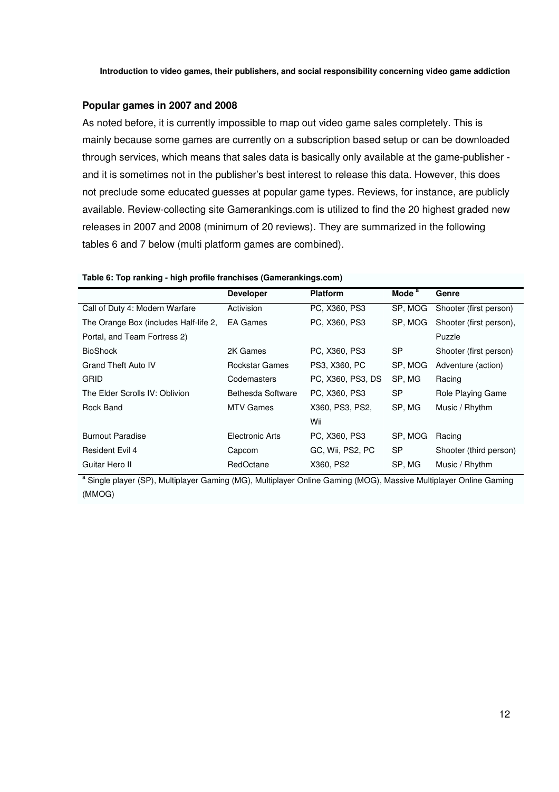### **Popular games in 2007 and 2008**

As noted before, it is currently impossible to map out video game sales completely. This is mainly because some games are currently on a subscription based setup or can be downloaded through services, which means that sales data is basically only available at the game-publisher and it is sometimes not in the publisher's best interest to release this data. However, this does not preclude some educated guesses at popular game types. Reviews, for instance, are publicly available. Review-collecting site Gamerankings.com is utilized to find the 20 highest graded new releases in 2007 and 2008 (minimum of 20 reviews). They are summarized in the following tables 6 and 7 below (multi platform games are combined).

### **Table 6: Top ranking - high profile franchises (Gamerankings.com)**

|                                       | <b>Developer</b>  | <b>Platform</b>   | Mode $a$  | Genre                   |
|---------------------------------------|-------------------|-------------------|-----------|-------------------------|
| Call of Duty 4: Modern Warfare        | Activision        | PC, X360, PS3     | SP, MOG   | Shooter (first person)  |
| The Orange Box (includes Half-life 2, | EA Games          | PC, X360, PS3     | SP, MOG   | Shooter (first person), |
| Portal, and Team Fortress 2)          |                   |                   |           | Puzzle                  |
| <b>BioShock</b>                       | 2K Games          | PC, X360, PS3     | <b>SP</b> | Shooter (first person)  |
| <b>Grand Theft Auto IV</b>            | Rockstar Games    | PS3, X360, PC     | SP, MOG   | Adventure (action)      |
| GRID                                  | Codemasters       | PC, X360, PS3, DS | SP. MG    | Racing                  |
| The Elder Scrolls IV: Oblivion        | Bethesda Software | PC, X360, PS3     | <b>SP</b> | Role Playing Game       |
| Rock Band                             | <b>MTV Games</b>  | X360, PS3, PS2,   | SP, MG    | Music / Rhythm          |
|                                       |                   | Wii               |           |                         |
| <b>Burnout Paradise</b>               | Electronic Arts   | PC, X360, PS3     | SP. MOG   | Racing                  |
| <b>Resident Evil 4</b>                | Capcom            | GC, Wii, PS2, PC  | <b>SP</b> | Shooter (third person)  |
| Guitar Hero II                        | RedOctane         | X360, PS2         | SP, MG    | Music / Rhythm          |

<sup>a</sup> Single player (SP), Multiplayer Gaming (MG), Multiplayer Online Gaming (MOG), Massive Multiplayer Online Gaming (MMOG)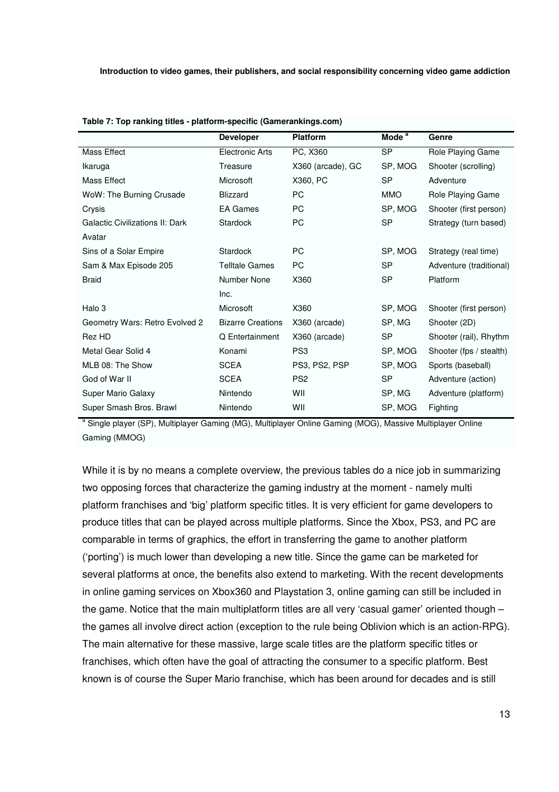|                                 | <b>Developer</b>         | <b>Platform</b>   | Mode <sup>a</sup> | Genre                   |
|---------------------------------|--------------------------|-------------------|-------------------|-------------------------|
| Mass Effect                     | Electronic Arts          | PC, X360          | <b>SP</b>         | Role Playing Game       |
| Ikaruga                         | Treasure                 | X360 (arcade), GC | SP, MOG           | Shooter (scrolling)     |
| Mass Effect                     | <b>Microsoft</b>         | X360, PC          | <b>SP</b>         | Adventure               |
| WoW: The Burning Crusade        | <b>Blizzard</b>          | <b>PC</b>         | <b>MMO</b>        | Role Playing Game       |
| Crysis                          | <b>EA Games</b>          | PC.               | SP, MOG           | Shooter (first person)  |
| Galactic Civilizations II: Dark | Stardock                 | <b>PC</b>         | <b>SP</b>         | Strategy (turn based)   |
| Avatar                          |                          |                   |                   |                         |
| Sins of a Solar Empire          | Stardock                 | <b>PC</b>         | SP, MOG           | Strategy (real time)    |
| Sam & Max Episode 205           | <b>Telltale Games</b>    | <b>PC</b>         | <b>SP</b>         | Adventure (traditional) |
| <b>Braid</b>                    | Number None              | X360              | <b>SP</b>         | Platform                |
|                                 | Inc.                     |                   |                   |                         |
| Halo 3                          | Microsoft                | X360              | SP, MOG           | Shooter (first person)  |
| Geometry Wars: Retro Evolved 2  | <b>Bizarre Creations</b> | X360 (arcade)     | SP, MG            | Shooter (2D)            |
| Rez HD                          | Q Entertainment          | X360 (arcade)     | <b>SP</b>         | Shooter (rail), Rhythm  |
| Metal Gear Solid 4              | Konami                   | PS <sub>3</sub>   | SP, MOG           | Shooter (fps / stealth) |
| MLB 08: The Show                | <b>SCEA</b>              | PS3, PS2, PSP     | SP, MOG           | Sports (baseball)       |
| God of War II                   | <b>SCEA</b>              | PS <sub>2</sub>   | <b>SP</b>         | Adventure (action)      |
| <b>Super Mario Galaxy</b>       | Nintendo                 | WII               | SP, MG            | Adventure (platform)    |
| Super Smash Bros. Brawl         | Nintendo                 | WII               | SP, MOG           | Fighting                |
|                                 |                          |                   |                   |                         |

| Table 7: Top ranking titles - platform-specific (Gamerankings.com) |  |  |  |
|--------------------------------------------------------------------|--|--|--|
|                                                                    |  |  |  |

<sup>a</sup> Single player (SP), Multiplayer Gaming (MG), Multiplayer Online Gaming (MOG), Massive Multiplayer Online Gaming (MMOG)

While it is by no means a complete overview, the previous tables do a nice job in summarizing two opposing forces that characterize the gaming industry at the moment - namely multi platform franchises and 'big' platform specific titles. It is very efficient for game developers to produce titles that can be played across multiple platforms. Since the Xbox, PS3, and PC are comparable in terms of graphics, the effort in transferring the game to another platform ('porting') is much lower than developing a new title. Since the game can be marketed for several platforms at once, the benefits also extend to marketing. With the recent developments in online gaming services on Xbox360 and Playstation 3, online gaming can still be included in the game. Notice that the main multiplatform titles are all very 'casual gamer' oriented though – the games all involve direct action (exception to the rule being Oblivion which is an action-RPG). The main alternative for these massive, large scale titles are the platform specific titles or franchises, which often have the goal of attracting the consumer to a specific platform. Best known is of course the Super Mario franchise, which has been around for decades and is still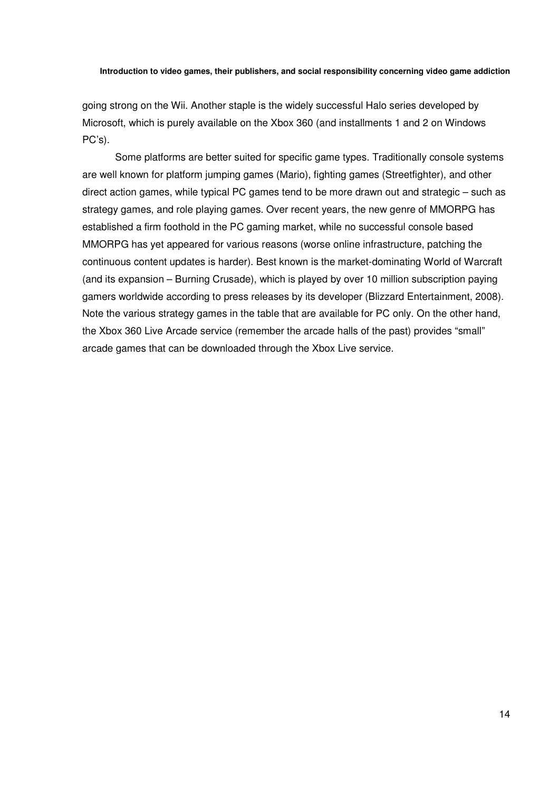going strong on the Wii. Another staple is the widely successful Halo series developed by Microsoft, which is purely available on the Xbox 360 (and installments 1 and 2 on Windows PC's).

Some platforms are better suited for specific game types. Traditionally console systems are well known for platform jumping games (Mario), fighting games (Streetfighter), and other direct action games, while typical PC games tend to be more drawn out and strategic – such as strategy games, and role playing games. Over recent years, the new genre of MMORPG has established a firm foothold in the PC gaming market, while no successful console based MMORPG has yet appeared for various reasons (worse online infrastructure, patching the continuous content updates is harder). Best known is the market-dominating World of Warcraft (and its expansion – Burning Crusade), which is played by over 10 million subscription paying gamers worldwide according to press releases by its developer (Blizzard Entertainment, 2008). Note the various strategy games in the table that are available for PC only. On the other hand, the Xbox 360 Live Arcade service (remember the arcade halls of the past) provides "small" arcade games that can be downloaded through the Xbox Live service.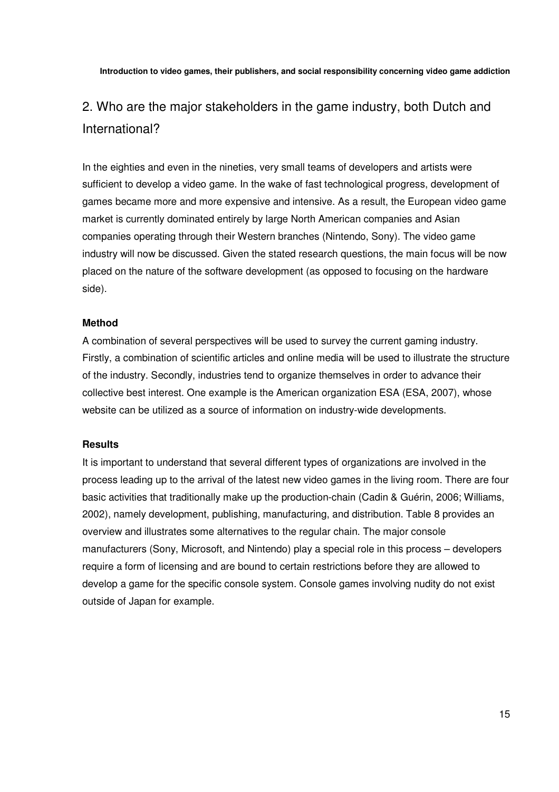# 2. Who are the major stakeholders in the game industry, both Dutch and International?

In the eighties and even in the nineties, very small teams of developers and artists were sufficient to develop a video game. In the wake of fast technological progress, development of games became more and more expensive and intensive. As a result, the European video game market is currently dominated entirely by large North American companies and Asian companies operating through their Western branches (Nintendo, Sony). The video game industry will now be discussed. Given the stated research questions, the main focus will be now placed on the nature of the software development (as opposed to focusing on the hardware side).

### **Method**

A combination of several perspectives will be used to survey the current gaming industry. Firstly, a combination of scientific articles and online media will be used to illustrate the structure of the industry. Secondly, industries tend to organize themselves in order to advance their collective best interest. One example is the American organization ESA (ESA, 2007), whose website can be utilized as a source of information on industry-wide developments.

### **Results**

It is important to understand that several different types of organizations are involved in the process leading up to the arrival of the latest new video games in the living room. There are four basic activities that traditionally make up the production-chain (Cadin & Guérin, 2006; Williams, 2002), namely development, publishing, manufacturing, and distribution. Table 8 provides an overview and illustrates some alternatives to the regular chain. The major console manufacturers (Sony, Microsoft, and Nintendo) play a special role in this process – developers require a form of licensing and are bound to certain restrictions before they are allowed to develop a game for the specific console system. Console games involving nudity do not exist outside of Japan for example.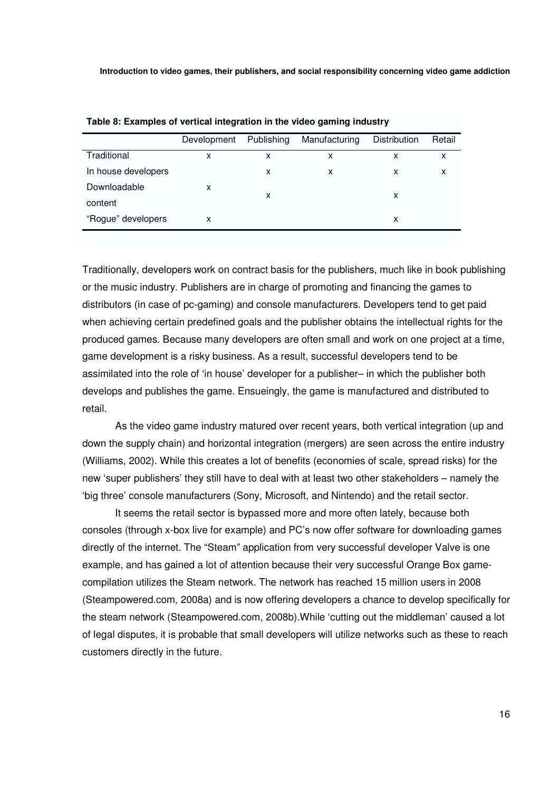|                     | Development | Publishing | Manufacturing | <b>Distribution</b> | Retail |
|---------------------|-------------|------------|---------------|---------------------|--------|
| Traditional         | X           | X          | x             | х                   | x      |
| In house developers |             | X          | x             | x                   | x      |
| Downloadable        | x           |            |               |                     |        |
| content             |             | X          |               | x                   |        |
| "Rogue" developers  | x           |            |               | x                   |        |
|                     |             |            |               |                     |        |

Traditionally, developers work on contract basis for the publishers, much like in book publishing or the music industry. Publishers are in charge of promoting and financing the games to distributors (in case of pc-gaming) and console manufacturers. Developers tend to get paid when achieving certain predefined goals and the publisher obtains the intellectual rights for the produced games. Because many developers are often small and work on one project at a time, game development is a risky business. As a result, successful developers tend to be assimilated into the role of 'in house' developer for a publisher– in which the publisher both develops and publishes the game. Ensueingly, the game is manufactured and distributed to retail.

As the video game industry matured over recent years, both vertical integration (up and down the supply chain) and horizontal integration (mergers) are seen across the entire industry (Williams, 2002). While this creates a lot of benefits (economies of scale, spread risks) for the new 'super publishers' they still have to deal with at least two other stakeholders – namely the 'big three' console manufacturers (Sony, Microsoft, and Nintendo) and the retail sector.

It seems the retail sector is bypassed more and more often lately, because both consoles (through x-box live for example) and PC's now offer software for downloading games directly of the internet. The "Steam" application from very successful developer Valve is one example, and has gained a lot of attention because their very successful Orange Box gamecompilation utilizes the Steam network. The network has reached 15 million users in 2008 (Steampowered.com, 2008a) and is now offering developers a chance to develop specifically for the steam network (Steampowered.com, 2008b).While 'cutting out the middleman' caused a lot of legal disputes, it is probable that small developers will utilize networks such as these to reach customers directly in the future.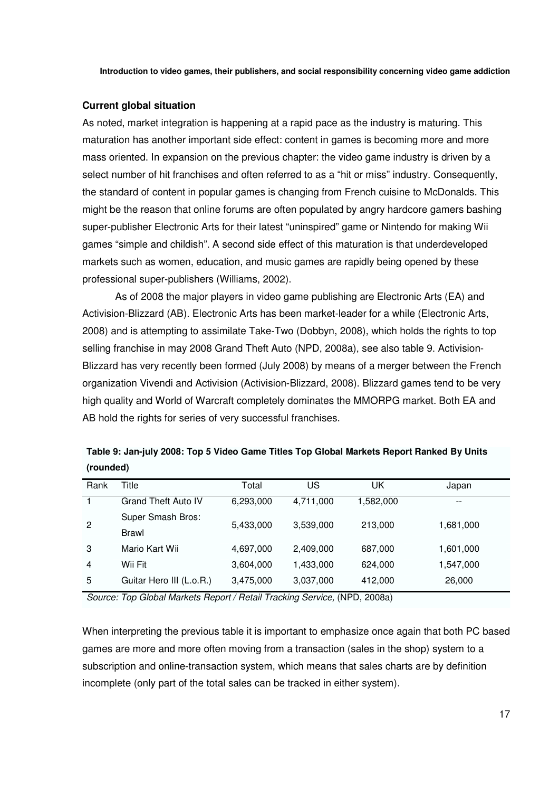### **Current global situation**

As noted, market integration is happening at a rapid pace as the industry is maturing. This maturation has another important side effect: content in games is becoming more and more mass oriented. In expansion on the previous chapter: the video game industry is driven by a select number of hit franchises and often referred to as a "hit or miss" industry. Consequently, the standard of content in popular games is changing from French cuisine to McDonalds. This might be the reason that online forums are often populated by angry hardcore gamers bashing super-publisher Electronic Arts for their latest "uninspired" game or Nintendo for making Wii games "simple and childish". A second side effect of this maturation is that underdeveloped markets such as women, education, and music games are rapidly being opened by these professional super-publishers (Williams, 2002).

As of 2008 the major players in video game publishing are Electronic Arts (EA) and Activision-Blizzard (AB). Electronic Arts has been market-leader for a while (Electronic Arts, 2008) and is attempting to assimilate Take-Two (Dobbyn, 2008), which holds the rights to top selling franchise in may 2008 Grand Theft Auto (NPD, 2008a), see also table 9. Activision-Blizzard has very recently been formed (July 2008) by means of a merger between the French organization Vivendi and Activision (Activision-Blizzard, 2008). Blizzard games tend to be very high quality and World of Warcraft completely dominates the MMORPG market. Both EA and AB hold the rights for series of very successful franchises.

| Rank           | Title                      | Total     | US                   | UK                                        | Japan                    |
|----------------|----------------------------|-----------|----------------------|-------------------------------------------|--------------------------|
|                | <b>Grand Theft Auto IV</b> | 6,293,000 | 4,711,000            | 1,582,000                                 | $\overline{\phantom{m}}$ |
| $\mathbf{2}$   | Super Smash Bros:          | 5,433,000 | 3,539,000            | 213,000                                   | 1,681,000                |
|                | <b>Brawl</b>               |           |                      |                                           |                          |
| 3              | Mario Kart Wii             | 4,697,000 | 2,409,000            | 687,000                                   | 1,601,000                |
| $\overline{4}$ | Wii Fit                    | 3,604,000 | 1,433,000            | 624,000                                   | 1,547,000                |
| 5              | Guitar Hero III (L.o.R.)   | 3,475,000 | 3,037,000            | 412,000                                   | 26,000                   |
| $\sim$         | -                          |           | $\sim$ $\sim$ $\sim$ | $\sim$ $\sim$ $\sim$ $\sim$ $\sim$ $\sim$ |                          |

**Table 9: Jan-july 2008: Top 5 Video Game Titles Top Global Markets Report Ranked By Units (rounded)** 

*Source: Top Global Markets Report / Retail Tracking Service,* (NPD, 2008a)

When interpreting the previous table it is important to emphasize once again that both PC based games are more and more often moving from a transaction (sales in the shop) system to a subscription and online-transaction system, which means that sales charts are by definition incomplete (only part of the total sales can be tracked in either system).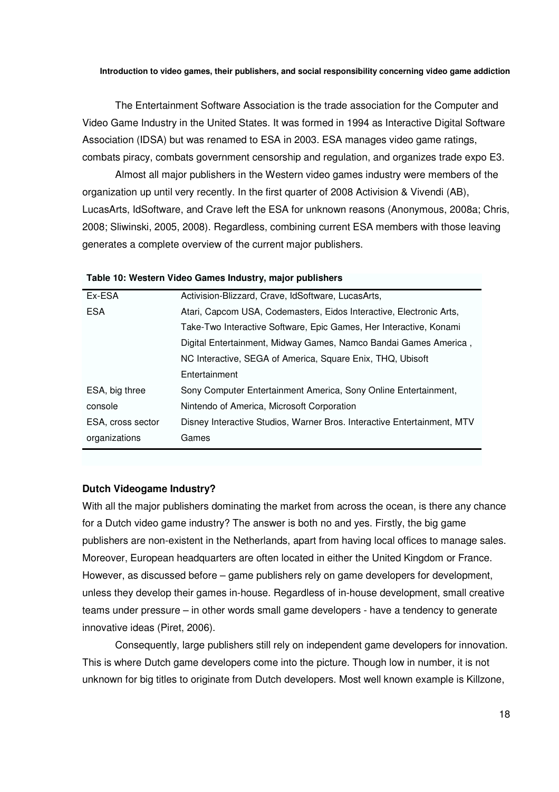The Entertainment Software Association is the trade association for the Computer and Video Game Industry in the United States. It was formed in 1994 as Interactive Digital Software Association (IDSA) but was renamed to ESA in 2003. ESA manages video game ratings, combats piracy, combats government censorship and regulation, and organizes trade expo E3.

Almost all major publishers in the Western video games industry were members of the organization up until very recently. In the first quarter of 2008 Activision & Vivendi (AB), LucasArts, IdSoftware, and Crave left the ESA for unknown reasons (Anonymous, 2008a; Chris, 2008; Sliwinski, 2005, 2008). Regardless, combining current ESA members with those leaving generates a complete overview of the current major publishers.

### **Table 10: Western Video Games Industry, major publishers**

| Ex-ESA            | Activision-Blizzard, Crave, IdSoftware, LucasArts,                      |
|-------------------|-------------------------------------------------------------------------|
| <b>ESA</b>        | Atari, Capcom USA, Codemasters, Eidos Interactive, Electronic Arts,     |
|                   | Take-Two Interactive Software, Epic Games, Her Interactive, Konami      |
|                   | Digital Entertainment, Midway Games, Namco Bandai Games America,        |
|                   | NC Interactive, SEGA of America, Square Enix, THQ, Ubisoft              |
|                   | Entertainment                                                           |
| ESA, big three    | Sony Computer Entertainment America, Sony Online Entertainment,         |
| console           | Nintendo of America, Microsoft Corporation                              |
| ESA, cross sector | Disney Interactive Studios, Warner Bros. Interactive Entertainment, MTV |
| organizations     | Games                                                                   |
|                   |                                                                         |

### **Dutch Videogame Industry?**

With all the major publishers dominating the market from across the ocean, is there any chance for a Dutch video game industry? The answer is both no and yes. Firstly, the big game publishers are non-existent in the Netherlands, apart from having local offices to manage sales. Moreover, European headquarters are often located in either the United Kingdom or France. However, as discussed before – game publishers rely on game developers for development, unless they develop their games in-house. Regardless of in-house development, small creative teams under pressure – in other words small game developers - have a tendency to generate innovative ideas (Piret, 2006).

Consequently, large publishers still rely on independent game developers for innovation. This is where Dutch game developers come into the picture. Though low in number, it is not unknown for big titles to originate from Dutch developers. Most well known example is Killzone,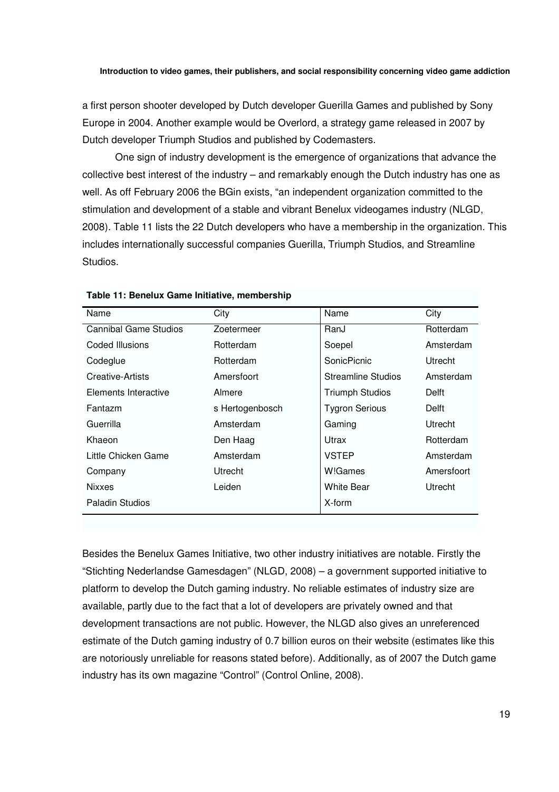a first person shooter developed by Dutch developer Guerilla Games and published by Sony Europe in 2004. Another example would be Overlord, a strategy game released in 2007 by Dutch developer Triumph Studios and published by Codemasters.

One sign of industry development is the emergence of organizations that advance the collective best interest of the industry – and remarkably enough the Dutch industry has one as well. As off February 2006 the BGin exists, "an independent organization committed to the stimulation and development of a stable and vibrant Benelux videogames industry (NLGD, 2008). Table 11 lists the 22 Dutch developers who have a membership in the organization. This includes internationally successful companies Guerilla, Triumph Studios, and Streamline Studios.

| Name                   | City            | Name                   | City       |
|------------------------|-----------------|------------------------|------------|
| Cannibal Game Studios  | Zoetermeer      | RanJ                   | Rotterdam  |
| Coded Illusions        | Rotterdam       | Soepel                 | Amsterdam  |
| Codeglue               | Rotterdam       | <b>SonicPicnic</b>     | Utrecht    |
| Creative-Artists       | Amersfoort      | Streamline Studios     | Amsterdam  |
| Elements Interactive   | Almere          | <b>Triumph Studios</b> | Delft      |
| Fantazm                | s Hertogenbosch | <b>Tygron Serious</b>  | Delft      |
| Guerrilla              | Amsterdam       | Gaming                 | Utrecht    |
| Khaeon                 | Den Haag        | Utrax                  | Rotterdam  |
| Little Chicken Game    | Amsterdam       | <b>VSTEP</b>           | Amsterdam  |
| Company                | Utrecht         | W!Games                | Amersfoort |
| <b>Nixxes</b>          | Leiden          | <b>White Bear</b>      | Utrecht    |
| <b>Paladin Studios</b> |                 | X-form                 |            |

**Table 11: Benelux Game Initiative, membership** 

Besides the Benelux Games Initiative, two other industry initiatives are notable. Firstly the "Stichting Nederlandse Gamesdagen" (NLGD, 2008) – a government supported initiative to platform to develop the Dutch gaming industry. No reliable estimates of industry size are available, partly due to the fact that a lot of developers are privately owned and that development transactions are not public. However, the NLGD also gives an unreferenced estimate of the Dutch gaming industry of 0.7 billion euros on their website (estimates like this are notoriously unreliable for reasons stated before). Additionally, as of 2007 the Dutch game industry has its own magazine "Control" (Control Online, 2008).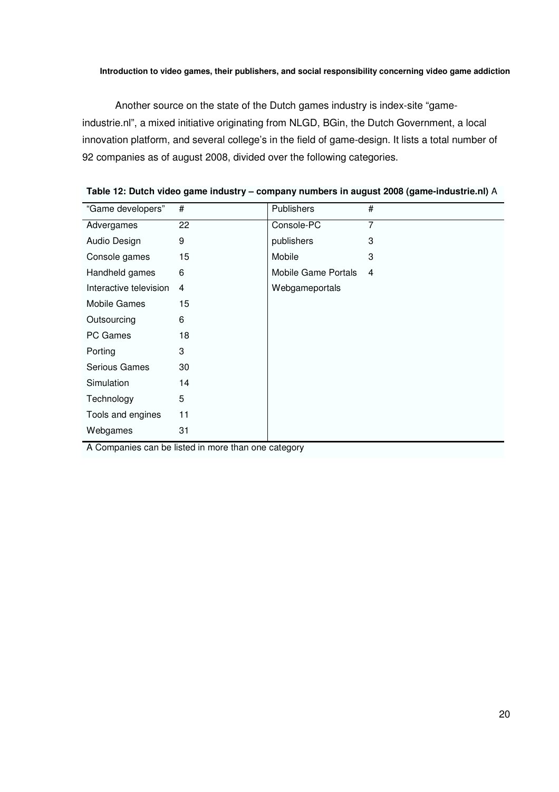Another source on the state of the Dutch games industry is index-site "gameindustrie.nl", a mixed initiative originating from NLGD, BGin, the Dutch Government, a local innovation platform, and several college's in the field of game-design. It lists a total number of 92 companies as of august 2008, divided over the following categories.

| "Game developers"      | #  | <b>Publishers</b>          | #              |
|------------------------|----|----------------------------|----------------|
| Advergames             | 22 | Console-PC                 | $\overline{7}$ |
| Audio Design           | 9  | publishers                 | 3              |
| Console games          | 15 | Mobile                     | 3              |
| Handheld games         | 6  | <b>Mobile Game Portals</b> | 4              |
| Interactive television | 4  | Webgameportals             |                |
| <b>Mobile Games</b>    | 15 |                            |                |
| Outsourcing            | 6  |                            |                |
| <b>PC Games</b>        | 18 |                            |                |
| Porting                | 3  |                            |                |
| Serious Games          | 30 |                            |                |
| Simulation             | 14 |                            |                |
| Technology             | 5  |                            |                |
| Tools and engines      | 11 |                            |                |
| Webgames               | 31 |                            |                |

**Table 12: Dutch video game industry – company numbers in august 2008 (game-industrie.nl)** A

A Companies can be listed in more than one category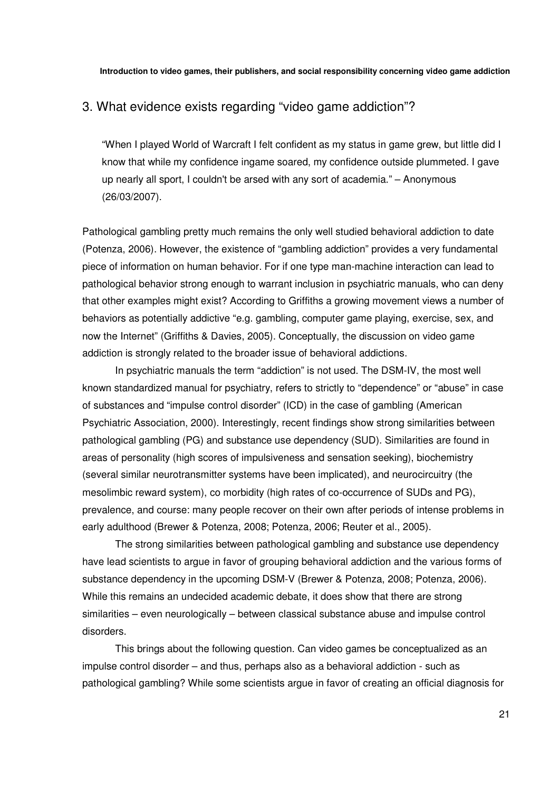### 3. What evidence exists regarding "video game addiction"?

"When I played World of Warcraft I felt confident as my status in game grew, but little did I know that while my confidence ingame soared, my confidence outside plummeted. I gave up nearly all sport, I couldn't be arsed with any sort of academia." – Anonymous (26/03/2007).

Pathological gambling pretty much remains the only well studied behavioral addiction to date (Potenza, 2006). However, the existence of "gambling addiction" provides a very fundamental piece of information on human behavior. For if one type man-machine interaction can lead to pathological behavior strong enough to warrant inclusion in psychiatric manuals, who can deny that other examples might exist? According to Griffiths a growing movement views a number of behaviors as potentially addictive "e.g. gambling, computer game playing, exercise, sex, and now the Internet" (Griffiths & Davies, 2005). Conceptually, the discussion on video game addiction is strongly related to the broader issue of behavioral addictions.

In psychiatric manuals the term "addiction" is not used. The DSM-IV, the most well known standardized manual for psychiatry, refers to strictly to "dependence" or "abuse" in case of substances and "impulse control disorder" (ICD) in the case of gambling (American Psychiatric Association, 2000). Interestingly, recent findings show strong similarities between pathological gambling (PG) and substance use dependency (SUD). Similarities are found in areas of personality (high scores of impulsiveness and sensation seeking), biochemistry (several similar neurotransmitter systems have been implicated), and neurocircuitry (the mesolimbic reward system), co morbidity (high rates of co-occurrence of SUDs and PG), prevalence, and course: many people recover on their own after periods of intense problems in early adulthood (Brewer & Potenza, 2008; Potenza, 2006; Reuter et al., 2005).

The strong similarities between pathological gambling and substance use dependency have lead scientists to argue in favor of grouping behavioral addiction and the various forms of substance dependency in the upcoming DSM-V (Brewer & Potenza, 2008; Potenza, 2006). While this remains an undecided academic debate, it does show that there are strong similarities – even neurologically – between classical substance abuse and impulse control disorders.

This brings about the following question. Can video games be conceptualized as an impulse control disorder – and thus, perhaps also as a behavioral addiction - such as pathological gambling? While some scientists argue in favor of creating an official diagnosis for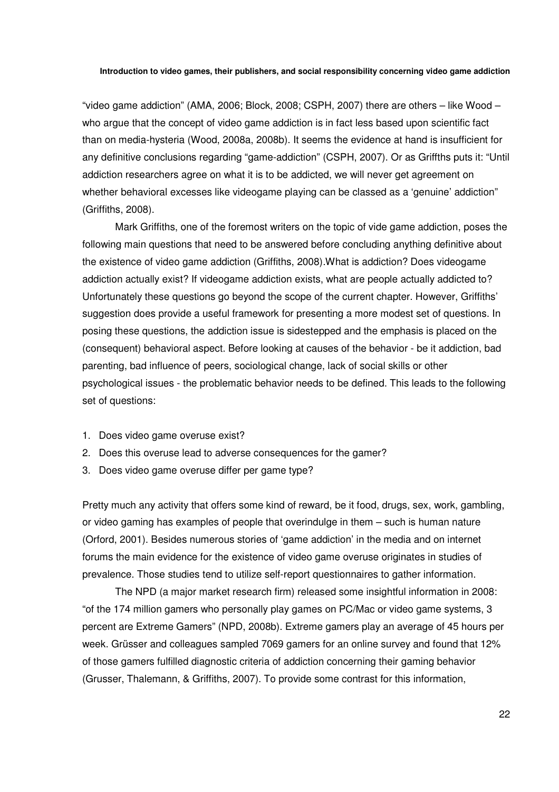"video game addiction" (AMA, 2006; Block, 2008; CSPH, 2007) there are others – like Wood – who argue that the concept of video game addiction is in fact less based upon scientific fact than on media-hysteria (Wood, 2008a, 2008b). It seems the evidence at hand is insufficient for any definitive conclusions regarding "game-addiction" (CSPH, 2007). Or as Griffths puts it: "Until addiction researchers agree on what it is to be addicted, we will never get agreement on whether behavioral excesses like videogame playing can be classed as a 'genuine' addiction" (Griffiths, 2008).

Mark Griffiths, one of the foremost writers on the topic of vide game addiction, poses the following main questions that need to be answered before concluding anything definitive about the existence of video game addiction (Griffiths, 2008).What is addiction? Does videogame addiction actually exist? If videogame addiction exists, what are people actually addicted to? Unfortunately these questions go beyond the scope of the current chapter. However, Griffiths' suggestion does provide a useful framework for presenting a more modest set of questions. In posing these questions, the addiction issue is sidestepped and the emphasis is placed on the (consequent) behavioral aspect. Before looking at causes of the behavior - be it addiction, bad parenting, bad influence of peers, sociological change, lack of social skills or other psychological issues - the problematic behavior needs to be defined. This leads to the following set of questions:

- 1. Does video game overuse exist?
- 2. Does this overuse lead to adverse consequences for the gamer?
- 3. Does video game overuse differ per game type?

Pretty much any activity that offers some kind of reward, be it food, drugs, sex, work, gambling, or video gaming has examples of people that overindulge in them – such is human nature (Orford, 2001). Besides numerous stories of 'game addiction' in the media and on internet forums the main evidence for the existence of video game overuse originates in studies of prevalence. Those studies tend to utilize self-report questionnaires to gather information.

The NPD (a major market research firm) released some insightful information in 2008: "of the 174 million gamers who personally play games on PC/Mac or video game systems, 3 percent are Extreme Gamers" (NPD, 2008b). Extreme gamers play an average of 45 hours per week. Grüsser and colleagues sampled 7069 gamers for an online survey and found that 12% of those gamers fulfilled diagnostic criteria of addiction concerning their gaming behavior (Grusser, Thalemann, & Griffiths, 2007). To provide some contrast for this information,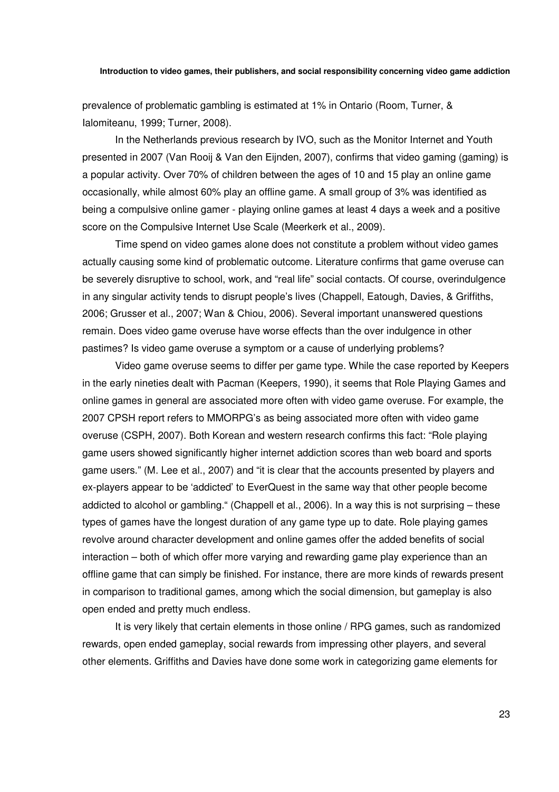prevalence of problematic gambling is estimated at 1% in Ontario (Room, Turner, & Ialomiteanu, 1999; Turner, 2008).

In the Netherlands previous research by IVO, such as the Monitor Internet and Youth presented in 2007 (Van Rooij & Van den Eijnden, 2007), confirms that video gaming (gaming) is a popular activity. Over 70% of children between the ages of 10 and 15 play an online game occasionally, while almost 60% play an offline game. A small group of 3% was identified as being a compulsive online gamer - playing online games at least 4 days a week and a positive score on the Compulsive Internet Use Scale (Meerkerk et al., 2009).

Time spend on video games alone does not constitute a problem without video games actually causing some kind of problematic outcome. Literature confirms that game overuse can be severely disruptive to school, work, and "real life" social contacts. Of course, overindulgence in any singular activity tends to disrupt people's lives (Chappell, Eatough, Davies, & Griffiths, 2006; Grusser et al., 2007; Wan & Chiou, 2006). Several important unanswered questions remain. Does video game overuse have worse effects than the over indulgence in other pastimes? Is video game overuse a symptom or a cause of underlying problems?

Video game overuse seems to differ per game type. While the case reported by Keepers in the early nineties dealt with Pacman (Keepers, 1990), it seems that Role Playing Games and online games in general are associated more often with video game overuse. For example, the 2007 CPSH report refers to MMORPG's as being associated more often with video game overuse (CSPH, 2007). Both Korean and western research confirms this fact: "Role playing game users showed significantly higher internet addiction scores than web board and sports game users." (M. Lee et al., 2007) and "it is clear that the accounts presented by players and ex-players appear to be 'addicted' to EverQuest in the same way that other people become addicted to alcohol or gambling." (Chappell et al., 2006). In a way this is not surprising – these types of games have the longest duration of any game type up to date. Role playing games revolve around character development and online games offer the added benefits of social interaction – both of which offer more varying and rewarding game play experience than an offline game that can simply be finished. For instance, there are more kinds of rewards present in comparison to traditional games, among which the social dimension, but gameplay is also open ended and pretty much endless.

It is very likely that certain elements in those online / RPG games, such as randomized rewards, open ended gameplay, social rewards from impressing other players, and several other elements. Griffiths and Davies have done some work in categorizing game elements for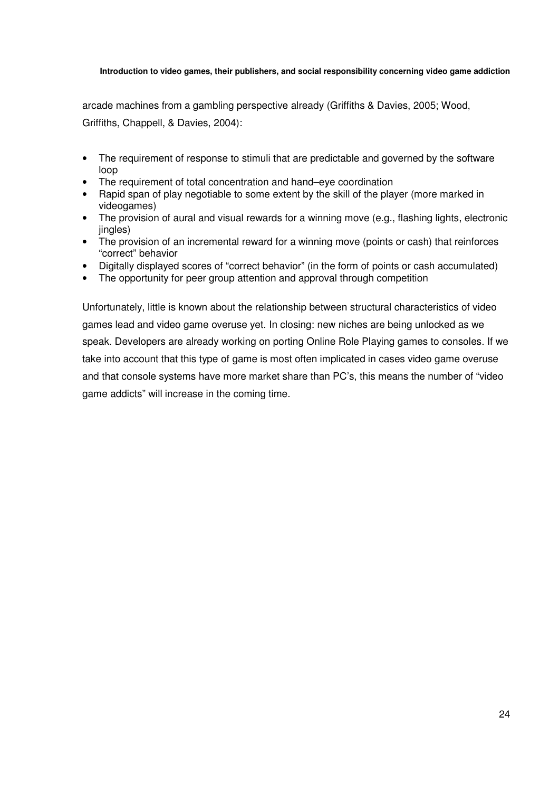arcade machines from a gambling perspective already (Griffiths & Davies, 2005; Wood, Griffiths, Chappell, & Davies, 2004):

- The requirement of response to stimuli that are predictable and governed by the software loop
- The requirement of total concentration and hand–eye coordination
- Rapid span of play negotiable to some extent by the skill of the player (more marked in videogames)
- The provision of aural and visual rewards for a winning move (e.g., flashing lights, electronic jingles)
- The provision of an incremental reward for a winning move (points or cash) that reinforces "correct" behavior
- Digitally displayed scores of "correct behavior" (in the form of points or cash accumulated)
- The opportunity for peer group attention and approval through competition

Unfortunately, little is known about the relationship between structural characteristics of video games lead and video game overuse yet. In closing: new niches are being unlocked as we speak. Developers are already working on porting Online Role Playing games to consoles. If we take into account that this type of game is most often implicated in cases video game overuse and that console systems have more market share than PC's, this means the number of "video game addicts" will increase in the coming time.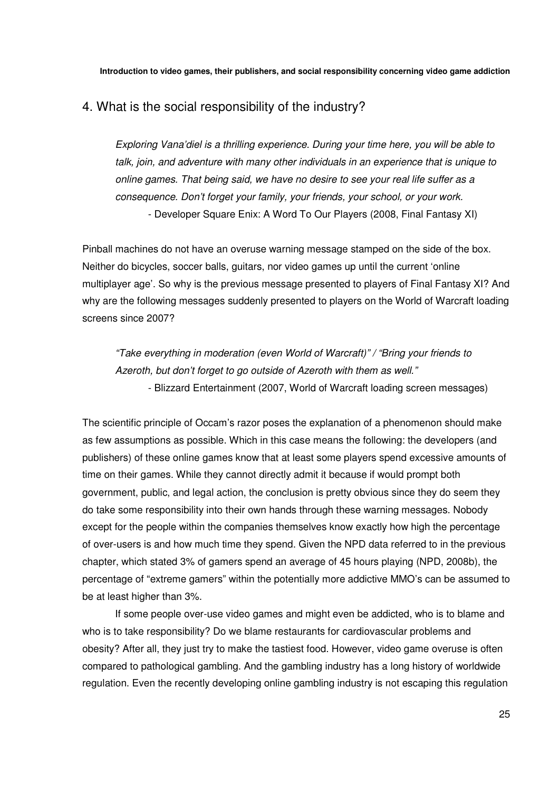## 4. What is the social responsibility of the industry?

*Exploring Vana'diel is a thrilling experience. During your time here, you will be able to talk, join, and adventure with many other individuals in an experience that is unique to online games. That being said, we have no desire to see your real life suffer as a consequence. Don't forget your family, your friends, your school, or your work.*  - Developer Square Enix: A Word To Our Players (2008, Final Fantasy XI)

Pinball machines do not have an overuse warning message stamped on the side of the box. Neither do bicycles, soccer balls, guitars, nor video games up until the current 'online multiplayer age'. So why is the previous message presented to players of Final Fantasy XI? And why are the following messages suddenly presented to players on the World of Warcraft loading screens since 2007?

*"Take everything in moderation (even World of Warcraft)" / "Bring your friends to Azeroth, but don't forget to go outside of Azeroth with them as well."*  - Blizzard Entertainment (2007, World of Warcraft loading screen messages)

The scientific principle of Occam's razor poses the explanation of a phenomenon should make as few assumptions as possible. Which in this case means the following: the developers (and publishers) of these online games know that at least some players spend excessive amounts of time on their games. While they cannot directly admit it because if would prompt both government, public, and legal action, the conclusion is pretty obvious since they do seem they do take some responsibility into their own hands through these warning messages. Nobody except for the people within the companies themselves know exactly how high the percentage of over-users is and how much time they spend. Given the NPD data referred to in the previous chapter, which stated 3% of gamers spend an average of 45 hours playing (NPD, 2008b), the percentage of "extreme gamers" within the potentially more addictive MMO's can be assumed to be at least higher than 3%.

If some people over-use video games and might even be addicted, who is to blame and who is to take responsibility? Do we blame restaurants for cardiovascular problems and obesity? After all, they just try to make the tastiest food. However, video game overuse is often compared to pathological gambling. And the gambling industry has a long history of worldwide regulation. Even the recently developing online gambling industry is not escaping this regulation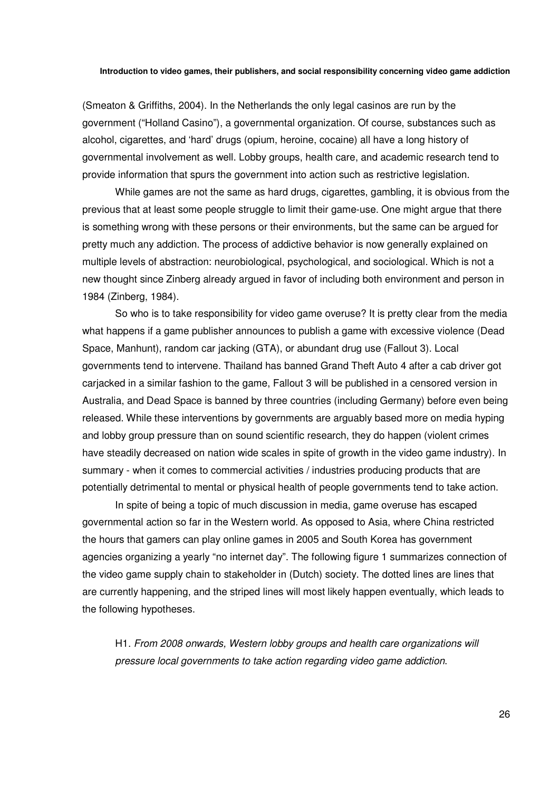(Smeaton & Griffiths, 2004). In the Netherlands the only legal casinos are run by the government ("Holland Casino"), a governmental organization. Of course, substances such as alcohol, cigarettes, and 'hard' drugs (opium, heroine, cocaine) all have a long history of governmental involvement as well. Lobby groups, health care, and academic research tend to provide information that spurs the government into action such as restrictive legislation.

While games are not the same as hard drugs, cigarettes, gambling, it is obvious from the previous that at least some people struggle to limit their game-use. One might argue that there is something wrong with these persons or their environments, but the same can be argued for pretty much any addiction. The process of addictive behavior is now generally explained on multiple levels of abstraction: neurobiological, psychological, and sociological. Which is not a new thought since Zinberg already argued in favor of including both environment and person in 1984 (Zinberg, 1984).

So who is to take responsibility for video game overuse? It is pretty clear from the media what happens if a game publisher announces to publish a game with excessive violence (Dead Space, Manhunt), random car jacking (GTA), or abundant drug use (Fallout 3). Local governments tend to intervene. Thailand has banned Grand Theft Auto 4 after a cab driver got carjacked in a similar fashion to the game, Fallout 3 will be published in a censored version in Australia, and Dead Space is banned by three countries (including Germany) before even being released. While these interventions by governments are arguably based more on media hyping and lobby group pressure than on sound scientific research, they do happen (violent crimes have steadily decreased on nation wide scales in spite of growth in the video game industry). In summary - when it comes to commercial activities / industries producing products that are potentially detrimental to mental or physical health of people governments tend to take action.

In spite of being a topic of much discussion in media, game overuse has escaped governmental action so far in the Western world. As opposed to Asia, where China restricted the hours that gamers can play online games in 2005 and South Korea has government agencies organizing a yearly "no internet day". The following figure 1 summarizes connection of the video game supply chain to stakeholder in (Dutch) society. The dotted lines are lines that are currently happening, and the striped lines will most likely happen eventually, which leads to the following hypotheses.

H1. *From 2008 onwards, Western lobby groups and health care organizations will pressure local governments to take action regarding video game addiction*.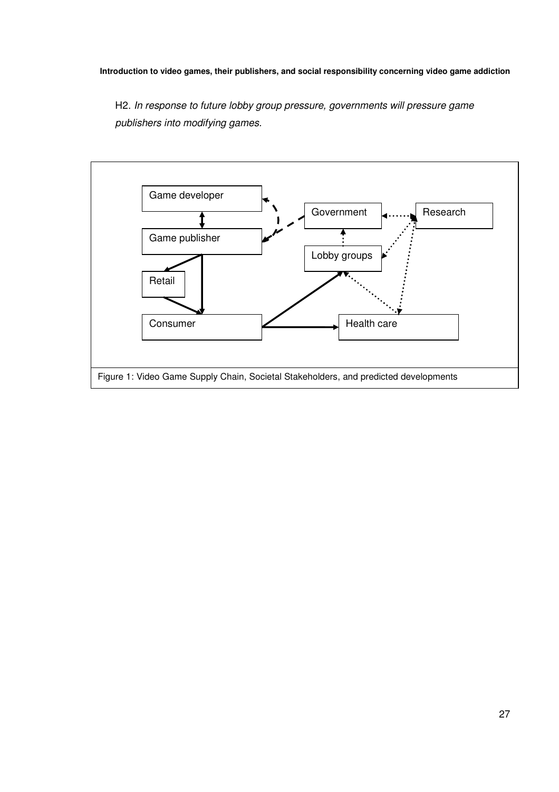H2. *In response to future lobby group pressure, governments will pressure game publishers into modifying games.* 

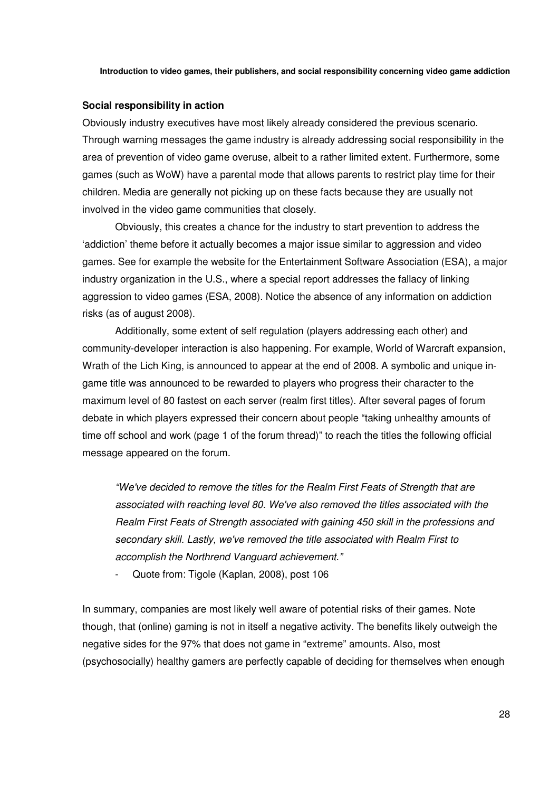### **Social responsibility in action**

Obviously industry executives have most likely already considered the previous scenario. Through warning messages the game industry is already addressing social responsibility in the area of prevention of video game overuse, albeit to a rather limited extent. Furthermore, some games (such as WoW) have a parental mode that allows parents to restrict play time for their children. Media are generally not picking up on these facts because they are usually not involved in the video game communities that closely.

Obviously, this creates a chance for the industry to start prevention to address the 'addiction' theme before it actually becomes a major issue similar to aggression and video games. See for example the website for the Entertainment Software Association (ESA), a major industry organization in the U.S., where a special report addresses the fallacy of linking aggression to video games (ESA, 2008). Notice the absence of any information on addiction risks (as of august 2008).

Additionally, some extent of self regulation (players addressing each other) and community-developer interaction is also happening. For example, World of Warcraft expansion, Wrath of the Lich King, is announced to appear at the end of 2008. A symbolic and unique ingame title was announced to be rewarded to players who progress their character to the maximum level of 80 fastest on each server (realm first titles). After several pages of forum debate in which players expressed their concern about people "taking unhealthy amounts of time off school and work (page 1 of the forum thread)" to reach the titles the following official message appeared on the forum.

*"We've decided to remove the titles for the Realm First Feats of Strength that are associated with reaching level 80. We've also removed the titles associated with the Realm First Feats of Strength associated with gaining 450 skill in the professions and secondary skill. Lastly, we've removed the title associated with Realm First to accomplish the Northrend Vanguard achievement."* 

- Quote from: Tigole (Kaplan, 2008), post 106

In summary, companies are most likely well aware of potential risks of their games. Note though, that (online) gaming is not in itself a negative activity. The benefits likely outweigh the negative sides for the 97% that does not game in "extreme" amounts. Also, most (psychosocially) healthy gamers are perfectly capable of deciding for themselves when enough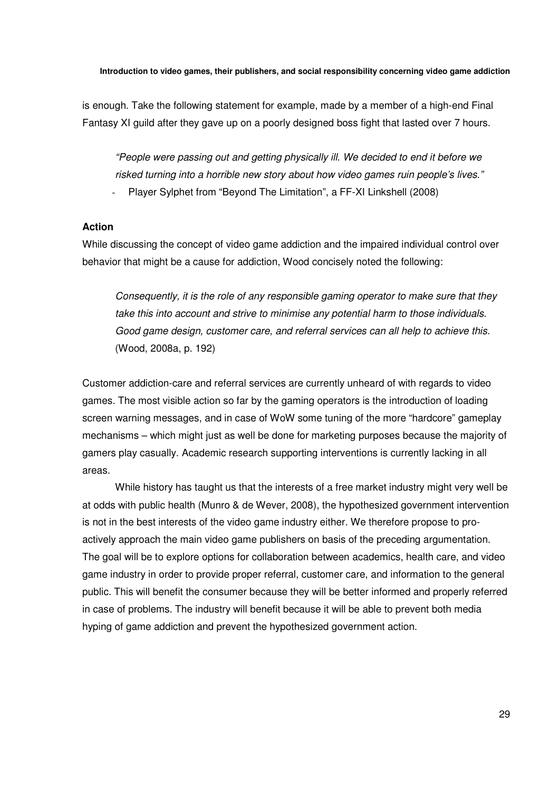is enough. Take the following statement for example, made by a member of a high-end Final Fantasy XI guild after they gave up on a poorly designed boss fight that lasted over 7 hours.

*"People were passing out and getting physically ill. We decided to end it before we risked turning into a horrible new story about how video games ruin people's lives."* 

- Player Sylphet from "Beyond The Limitation", a FF-XI Linkshell (2008)

### **Action**

While discussing the concept of video game addiction and the impaired individual control over behavior that might be a cause for addiction, Wood concisely noted the following:

*Consequently, it is the role of any responsible gaming operator to make sure that they take this into account and strive to minimise any potential harm to those individuals. Good game design, customer care, and referral services can all help to achieve this.*  (Wood, 2008a, p. 192)

Customer addiction-care and referral services are currently unheard of with regards to video games. The most visible action so far by the gaming operators is the introduction of loading screen warning messages, and in case of WoW some tuning of the more "hardcore" gameplay mechanisms – which might just as well be done for marketing purposes because the majority of gamers play casually. Academic research supporting interventions is currently lacking in all areas.

While history has taught us that the interests of a free market industry might very well be at odds with public health (Munro & de Wever, 2008), the hypothesized government intervention is not in the best interests of the video game industry either. We therefore propose to proactively approach the main video game publishers on basis of the preceding argumentation. The goal will be to explore options for collaboration between academics, health care, and video game industry in order to provide proper referral, customer care, and information to the general public. This will benefit the consumer because they will be better informed and properly referred in case of problems. The industry will benefit because it will be able to prevent both media hyping of game addiction and prevent the hypothesized government action.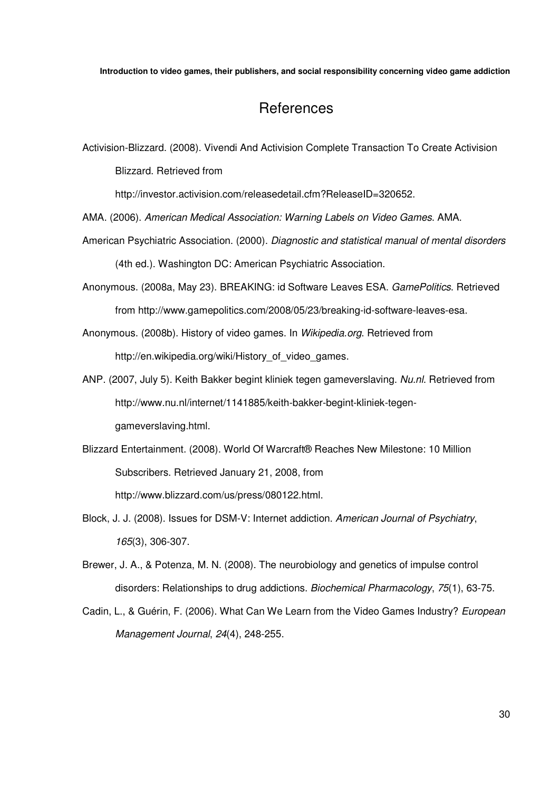## References

Activision-Blizzard. (2008). Vivendi And Activision Complete Transaction To Create Activision Blizzard. Retrieved from

http://investor.activision.com/releasedetail.cfm?ReleaseID=320652.

AMA. (2006). *American Medical Association: Warning Labels on Video Games*. AMA.

- American Psychiatric Association. (2000). *Diagnostic and statistical manual of mental disorders* (4th ed.). Washington DC: American Psychiatric Association.
- Anonymous. (2008a, May 23). BREAKING: id Software Leaves ESA. *GamePolitics*. Retrieved from http://www.gamepolitics.com/2008/05/23/breaking-id-software-leaves-esa.

Anonymous. (2008b). History of video games. In *Wikipedia.org*. Retrieved from http://en.wikipedia.org/wiki/History of video games.

- ANP. (2007, July 5). Keith Bakker begint kliniek tegen gameverslaving. *Nu.nl*. Retrieved from http://www.nu.nl/internet/1141885/keith-bakker-begint-kliniek-tegengameverslaving.html.
- Blizzard Entertainment. (2008). World Of Warcraft® Reaches New Milestone: 10 Million Subscribers. Retrieved January 21, 2008, from http://www.blizzard.com/us/press/080122.html.
- Block, J. J. (2008). Issues for DSM-V: Internet addiction. *American Journal of Psychiatry*, *165*(3), 306-307.
- Brewer, J. A., & Potenza, M. N. (2008). The neurobiology and genetics of impulse control disorders: Relationships to drug addictions. *Biochemical Pharmacology*, *75*(1), 63-75.
- Cadin, L., & Guérin, F. (2006). What Can We Learn from the Video Games Industry? *European Management Journal*, *24*(4), 248-255.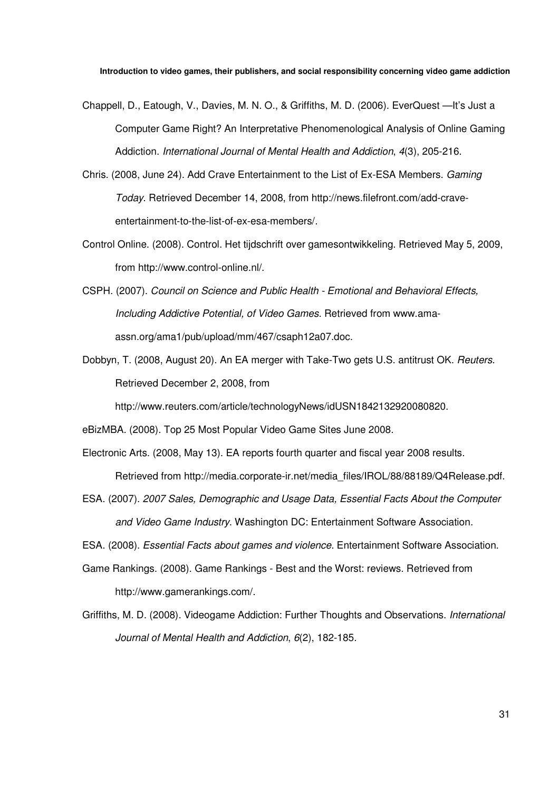- Chappell, D., Eatough, V., Davies, M. N. O., & Griffiths, M. D. (2006). EverQuest —It's Just a Computer Game Right? An Interpretative Phenomenological Analysis of Online Gaming Addiction. *International Journal of Mental Health and Addiction*, *4*(3), 205-216.
- Chris. (2008, June 24). Add Crave Entertainment to the List of Ex-ESA Members. *Gaming Today*. Retrieved December 14, 2008, from http://news.filefront.com/add-craveentertainment-to-the-list-of-ex-esa-members/.
- Control Online. (2008). Control. Het tijdschrift over gamesontwikkeling. Retrieved May 5, 2009, from http://www.control-online.nl/.
- CSPH. (2007). *Council on Science and Public Health Emotional and Behavioral Effects, Including Addictive Potential, of Video Games*. Retrieved from www.amaassn.org/ama1/pub/upload/mm/467/csaph12a07.doc.
- Dobbyn, T. (2008, August 20). An EA merger with Take-Two gets U.S. antitrust OK. *Reuters*. Retrieved December 2, 2008, from

http://www.reuters.com/article/technologyNews/idUSN1842132920080820.

eBizMBA. (2008). Top 25 Most Popular Video Game Sites June 2008.

Electronic Arts. (2008, May 13). EA reports fourth quarter and fiscal year 2008 results. Retrieved from http://media.corporate-ir.net/media\_files/IROL/88/88189/Q4Release.pdf.

ESA. (2007). *2007 Sales, Demographic and Usage Data, Essential Facts About the Computer and Video Game Industry*. Washington DC: Entertainment Software Association.

ESA. (2008). *Essential Facts about games and violence*. Entertainment Software Association.

Game Rankings. (2008). Game Rankings - Best and the Worst: reviews. Retrieved from http://www.gamerankings.com/.

Griffiths, M. D. (2008). Videogame Addiction: Further Thoughts and Observations. *International Journal of Mental Health and Addiction*, *6*(2), 182-185.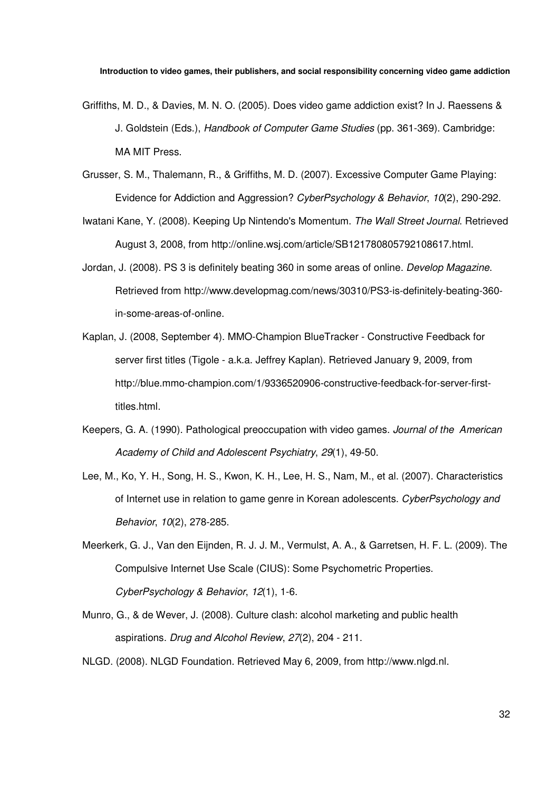- Griffiths, M. D., & Davies, M. N. O. (2005). Does video game addiction exist? In J. Raessens & J. Goldstein (Eds.), *Handbook of Computer Game Studies* (pp. 361-369). Cambridge: MA MIT Press.
- Grusser, S. M., Thalemann, R., & Griffiths, M. D. (2007). Excessive Computer Game Playing: Evidence for Addiction and Aggression? *CyberPsychology & Behavior*, *10*(2), 290-292.
- Iwatani Kane, Y. (2008). Keeping Up Nintendo's Momentum. *The Wall Street Journal*. Retrieved August 3, 2008, from http://online.wsj.com/article/SB121780805792108617.html.
- Jordan, J. (2008). PS 3 is definitely beating 360 in some areas of online. *Develop Magazine*. Retrieved from http://www.developmag.com/news/30310/PS3-is-definitely-beating-360 in-some-areas-of-online.
- Kaplan, J. (2008, September 4). MMO-Champion BlueTracker Constructive Feedback for server first titles (Tigole - a.k.a. Jeffrey Kaplan). Retrieved January 9, 2009, from http://blue.mmo-champion.com/1/9336520906-constructive-feedback-for-server-firsttitles.html.
- Keepers, G. A. (1990). Pathological preoccupation with video games. *Journal of the American Academy of Child and Adolescent Psychiatry*, *29*(1), 49-50.
- Lee, M., Ko, Y. H., Song, H. S., Kwon, K. H., Lee, H. S., Nam, M., et al. (2007). Characteristics of Internet use in relation to game genre in Korean adolescents. *CyberPsychology and Behavior*, *10*(2), 278-285.
- Meerkerk, G. J., Van den Eijnden, R. J. J. M., Vermulst, A. A., & Garretsen, H. F. L. (2009). The Compulsive Internet Use Scale (CIUS): Some Psychometric Properties. *CyberPsychology & Behavior*, *12*(1), 1-6.
- Munro, G., & de Wever, J. (2008). Culture clash: alcohol marketing and public health aspirations. *Drug and Alcohol Review*, *27*(2), 204 - 211.
- NLGD. (2008). NLGD Foundation. Retrieved May 6, 2009, from http://www.nlgd.nl.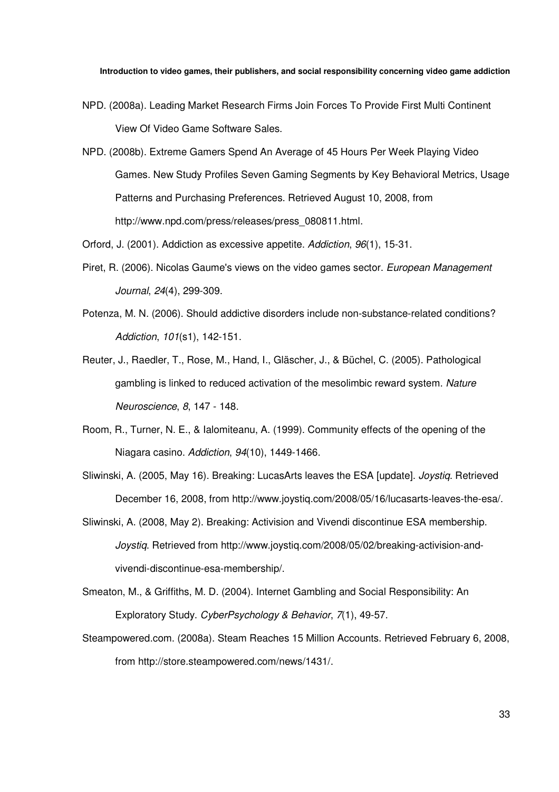- NPD. (2008a). Leading Market Research Firms Join Forces To Provide First Multi Continent View Of Video Game Software Sales.
- NPD. (2008b). Extreme Gamers Spend An Average of 45 Hours Per Week Playing Video Games. New Study Profiles Seven Gaming Segments by Key Behavioral Metrics, Usage Patterns and Purchasing Preferences. Retrieved August 10, 2008, from http://www.npd.com/press/releases/press\_080811.html.

Orford, J. (2001). Addiction as excessive appetite. *Addiction*, *96*(1), 15-31.

- Piret, R. (2006). Nicolas Gaume's views on the video games sector. *European Management Journal*, *24*(4), 299-309.
- Potenza, M. N. (2006). Should addictive disorders include non-substance-related conditions? *Addiction*, *101*(s1), 142-151.
- Reuter, J., Raedler, T., Rose, M., Hand, I., Gläscher, J., & Büchel, C. (2005). Pathological gambling is linked to reduced activation of the mesolimbic reward system. *Nature Neuroscience*, *8*, 147 - 148.
- Room, R., Turner, N. E., & Ialomiteanu, A. (1999). Community effects of the opening of the Niagara casino. *Addiction*, *94*(10), 1449-1466.
- Sliwinski, A. (2005, May 16). Breaking: LucasArts leaves the ESA [update]. *Joystiq*. Retrieved December 16, 2008, from http://www.joystiq.com/2008/05/16/lucasarts-leaves-the-esa/.
- Sliwinski, A. (2008, May 2). Breaking: Activision and Vivendi discontinue ESA membership. *Joystiq*. Retrieved from http://www.joystiq.com/2008/05/02/breaking-activision-andvivendi-discontinue-esa-membership/.
- Smeaton, M., & Griffiths, M. D. (2004). Internet Gambling and Social Responsibility: An Exploratory Study. *CyberPsychology & Behavior*, *7*(1), 49-57.
- Steampowered.com. (2008a). Steam Reaches 15 Million Accounts. Retrieved February 6, 2008, from http://store.steampowered.com/news/1431/.